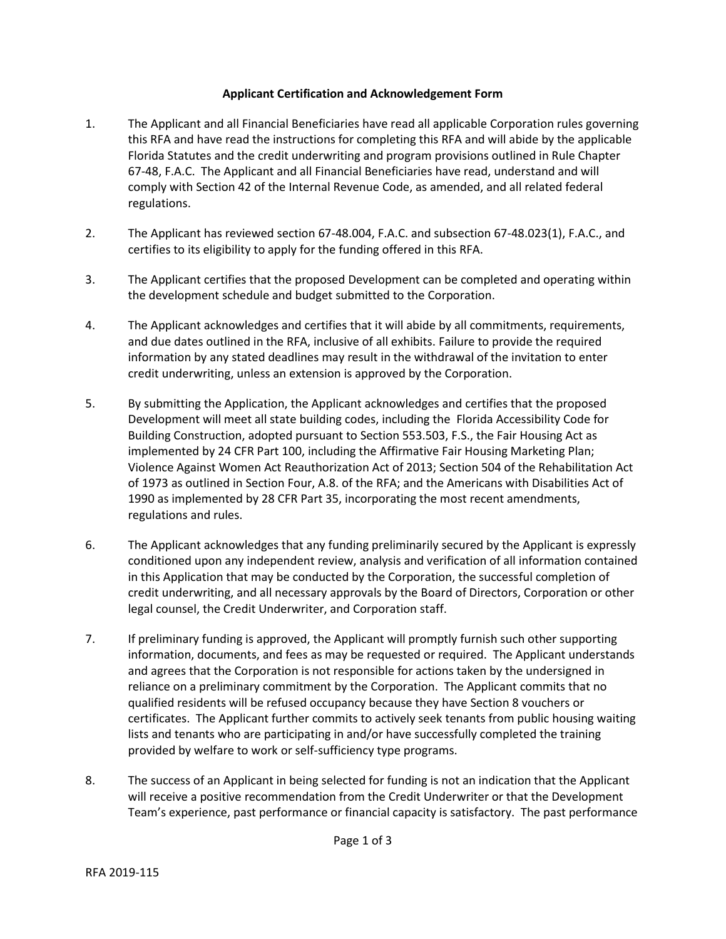## **Applicant Certification and Acknowledgement Form**

- 1. The Applicant and all Financial Beneficiaries have read all applicable Corporation rules governing this RFA and have read the instructions for completing this RFA and will abide by the applicable Florida Statutes and the credit underwriting and program provisions outlined in Rule Chapter 67-48, F.A.C. The Applicant and all Financial Beneficiaries have read, understand and will comply with Section 42 of the Internal Revenue Code, as amended, and all related federal regulations.
- 2. The Applicant has reviewed section 67-48.004, F.A.C. and subsection 67-48.023(1), F.A.C., and certifies to its eligibility to apply for the funding offered in this RFA.
- 3. The Applicant certifies that the proposed Development can be completed and operating within the development schedule and budget submitted to the Corporation.
- 4. The Applicant acknowledges and certifies that it will abide by all commitments, requirements, and due dates outlined in the RFA, inclusive of all exhibits. Failure to provide the required information by any stated deadlines may result in the withdrawal of the invitation to enter credit underwriting, unless an extension is approved by the Corporation.
- 5. By submitting the Application, the Applicant acknowledges and certifies that the proposed Development will meet all state building codes, including the Florida Accessibility Code for Building Construction, adopted pursuant to Section 553.503, F.S., the Fair Housing Act as implemented by 24 CFR Part 100, including the Affirmative Fair Housing Marketing Plan; Violence Against Women Act Reauthorization Act of 2013; Section 504 of the Rehabilitation Act of 1973 as outlined in Section Four, A.8. of the RFA; and the Americans with Disabilities Act of 1990 as implemented by 28 CFR Part 35, incorporating the most recent amendments, regulations and rules.
- 6. The Applicant acknowledges that any funding preliminarily secured by the Applicant is expressly conditioned upon any independent review, analysis and verification of all information contained in this Application that may be conducted by the Corporation, the successful completion of credit underwriting, and all necessary approvals by the Board of Directors, Corporation or other legal counsel, the Credit Underwriter, and Corporation staff.
- 7. If preliminary funding is approved, the Applicant will promptly furnish such other supporting information, documents, and fees as may be requested or required. The Applicant understands and agrees that the Corporation is not responsible for actions taken by the undersigned in reliance on a preliminary commitment by the Corporation. The Applicant commits that no qualified residents will be refused occupancy because they have Section 8 vouchers or certificates. The Applicant further commits to actively seek tenants from public housing waiting lists and tenants who are participating in and/or have successfully completed the training provided by welfare to work or self-sufficiency type programs.
- 8. The success of an Applicant in being selected for funding is not an indication that the Applicant will receive a positive recommendation from the Credit Underwriter or that the Development Team's experience, past performance or financial capacity is satisfactory. The past performance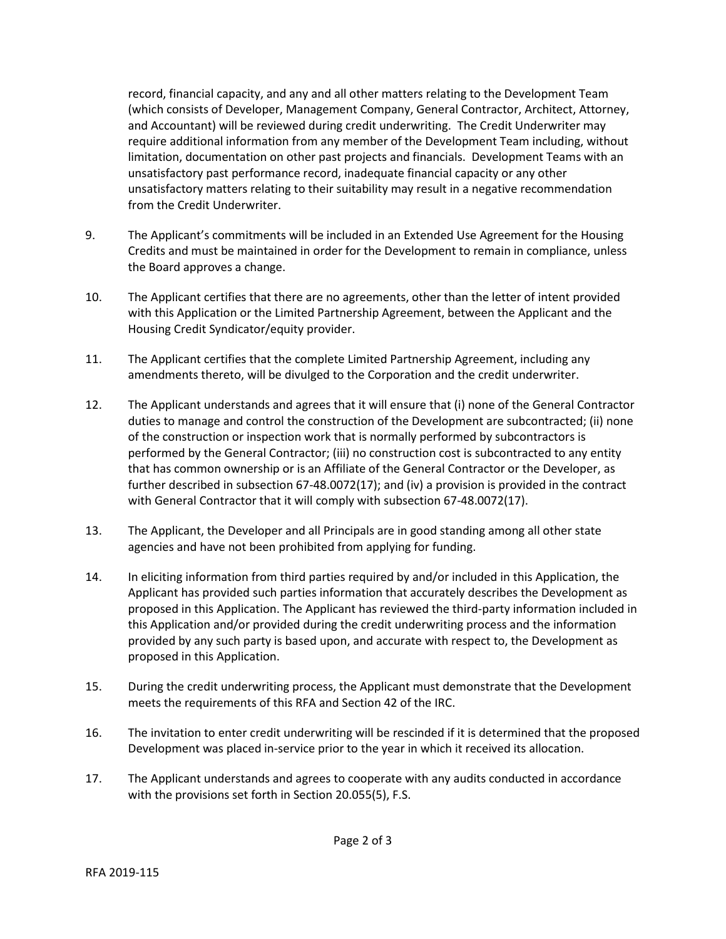record, financial capacity, and any and all other matters relating to the Development Team (which consists of Developer, Management Company, General Contractor, Architect, Attorney, and Accountant) will be reviewed during credit underwriting. The Credit Underwriter may require additional information from any member of the Development Team including, without limitation, documentation on other past projects and financials. Development Teams with an unsatisfactory past performance record, inadequate financial capacity or any other unsatisfactory matters relating to their suitability may result in a negative recommendation from the Credit Underwriter.

- 9. The Applicant's commitments will be included in an Extended Use Agreement for the Housing Credits and must be maintained in order for the Development to remain in compliance, unless the Board approves a change.
- 10. The Applicant certifies that there are no agreements, other than the letter of intent provided with this Application or the Limited Partnership Agreement, between the Applicant and the Housing Credit Syndicator/equity provider.
- 11. The Applicant certifies that the complete Limited Partnership Agreement, including any amendments thereto, will be divulged to the Corporation and the credit underwriter.
- 12. The Applicant understands and agrees that it will ensure that (i) none of the General Contractor duties to manage and control the construction of the Development are subcontracted; (ii) none of the construction or inspection work that is normally performed by subcontractors is performed by the General Contractor; (iii) no construction cost is subcontracted to any entity that has common ownership or is an Affiliate of the General Contractor or the Developer, as further described in subsection 67-48.0072(17); and (iv) a provision is provided in the contract with General Contractor that it will comply with subsection 67-48.0072(17).
- 13. The Applicant, the Developer and all Principals are in good standing among all other state agencies and have not been prohibited from applying for funding.
- 14. In eliciting information from third parties required by and/or included in this Application, the Applicant has provided such parties information that accurately describes the Development as proposed in this Application. The Applicant has reviewed the third-party information included in this Application and/or provided during the credit underwriting process and the information provided by any such party is based upon, and accurate with respect to, the Development as proposed in this Application.
- 15. During the credit underwriting process, the Applicant must demonstrate that the Development meets the requirements of this RFA and Section 42 of the IRC.
- 16. The invitation to enter credit underwriting will be rescinded if it is determined that the proposed Development was placed in-service prior to the year in which it received its allocation.
- 17. The Applicant understands and agrees to cooperate with any audits conducted in accordance with the provisions set forth in Section 20.055(5), F.S.